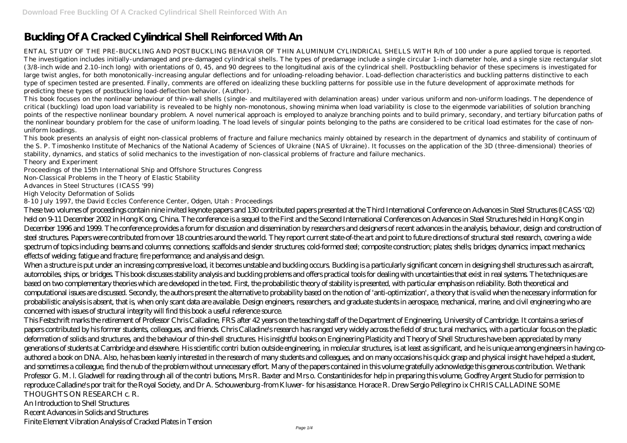# **Buckling Of A Cracked Cylindrical Shell Reinforced With An**

ENTAL STUDY OF THE PRE-BUCKLING AND POSTBUCKLING BEHAVIOR OF THIN ALUMINUM CYLINDRICAL SHELLS WITH R/h of 100 under a pure applied torque is reported. The investigation includes initially-undamaged and pre-damaged cylindrical shells. The types of predamage include a single circular 1-inch diameter hole, and a single size rectangular slot (3/8-inch wide and 2.10-inch long) with orientations of 0, 45, and 90 degrees to the longitudinal axis of the cylindrical shell. Postbuckling behavior of these specimens is investigated for large twist angles, for both monotonically-increasing angular deflections and for unloading-reloading behavior. Load-deflection characteristics and buckling patterns distinctive to each type of specimen tested are presented. Finally, comments are offered on idealizing these buckling patterns for possible use in the future development of approximate methods for predicting these types of postbuckling load-deflection behavior. (Author).

This book focuses on the nonlinear behaviour of thin-wall shells (single- and multilayered with delamination areas) under various uniform and non-uniform loadings. The dependence of critical (buckling) load upon load variability is revealed to be highly non-monotonous, showing minima when load variability is close to the eigenmode variabilities of solution branching points of the respective nonlinear boundary problem. A novel numerical approach is employed to analyze branching points and to build primary, secondary, and tertiary bifurcation paths of the nonlinear boundary problem for the case of uniform loading. The load levels of singular points belonging to the paths are considered to be critical load estimates for the case of nonuniform loadings.

This book presents an analysis of eight non-classical problems of fracture and failure mechanics mainly obtained by research in the department of dynamics and stability of continuum of the S. P. Timoshenko Institute of Mechanics of the National Academy of Sciences of Ukraine (NAS of Ukraine). It focusses on the application of the 3D (three-dimensional) theories of stability, dynamics, and statics of solid mechanics to the investigation of non-classical problems of fracture and failure mechanics. Theory and Experiment

Proceedings of the 15th International Ship and Offshore Structures Congress

Non-Classical Problems in the Theory of Elastic Stability

Advances in Steel Structures (ICASS '99)

High Velocity Deformation of Solids

8-10 July 1997, the David Eccles Conference Center, Odgen, Utah : Proceedings

These two volumes of proceedings contain nine invited keynote papers and 130 contributed papers presented at the Third International Conference on Advances in Steel Structures (ICASS '02) held on 9-11 December 2002 in Hong Kong, China. The conference is a sequel to the First and the Second International Conferences on Advances in Steel Structures held in Hong Kong in December 1996 and 1999. The conference provides a forum for discussion and dissemination by researchers and designers of recent advances in the analysis, behaviour, design and construction of steel structures. Papers were contributed from over 18 countries around the world. They report current state-of-the art and point to future directions of structural steel research, covering a wide spectrum of topics including: beams and columns; connections; scaffolds and slender structures; cold-formed steel; composite construction; plates; shells; bridges; dynamics; impact mechanics; effects of welding; fatigue and fracture; fire performance; and analysis and design.

When a structure is put under an increasing compressive load, it becomes unstable and buckling occurs. Buckling is a particularly significant concern in designing shell structures such as aircraft, automobiles, ships, or bridges. This book discusses stability analysis and buckling problems and offers practical tools for dealing with uncertainties that exist in real systems. The techniques are based on two complementary theories which are developed in the text. First, the probabilistic theory of stability is presented, with particular emphasis on reliability. Both theoretical and computational issues are discussed. Secondly, the authors present the alternative to probability based on the notion of 'anti-optimization', a theory that is valid when the necessary information for probabilistic analysis is absent, that is, when only scant data are available. Design engineers, researchers, and graduate students in aerospace, mechanical, marine, and civil engineering who are concerned with issues of structural integrity will find this book a useful reference source.

This Festschrift marks the retirement of Professor Chris Calladine, FRS after 42 years on the teaching staff of the Department of Engineering, University of Cambridge. It contains a series of papers contributed by his former students, colleagues, and friends. Chris Calladine's research has ranged very widely across the field of struc tural mechanics, with a particular focus on the plastic deformation of solids and structures, and the behaviour of thin-shell structures. His insightful books on Engineering Plasticity and Theory of Shell Structures have been appreciated by many generations of students at Cambridge and elsewhere. His scientific contri bution outside engineering, in molecular structures, is at least as significant, and he is unique among engineers in having coauthored a book on DNA. Also, he has been keenly interested in the research of many students and colleagues, and on many occasions his quick grasp and physical insight have helped a student, and sometimes a colleague, find the nub of the problem without unnecessary effort. Many of the papers contained in this volume gratefully acknowledge this generous contribution. We thank Professor G. M. l. Gladwell for reading through all of the contri butions, Mrs R. Baxter and Mrs o. Constantinides for help in preparing this volume, Godfrey Argent Studio for permission to reproduce Calladine's por trait for the Royal Society, and Dr A. Schouwenburg -from Kluwer- for his assistance. Horace R. Drew Sergio Pellegrino ix CHRIS CALLADINE SOME THOUGHTS ON RESEARCH c. R.

An Introduction to Shell Structures

Recent Advances in Solids and Structures

Finite Element Vibration Analysis of Cracked Plates in Tension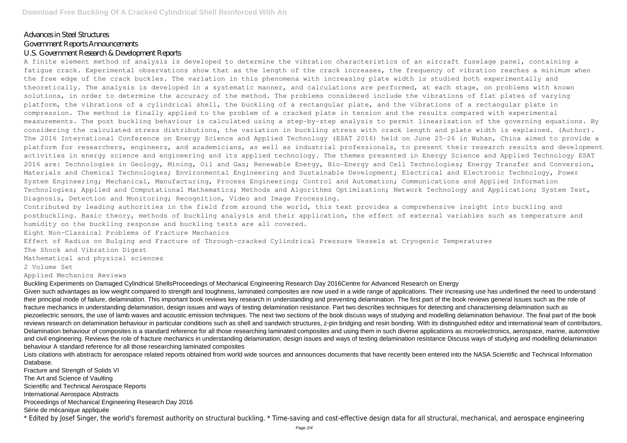# Advances in Steel Structures

# Government Reports Announcements

# U.S. Government Research & Development Reports

A finite element method of analysis is developed to determine the vibration characteristics of an aircraft fuselage panel, containing a fatigue crack. Experimental observations show that as the length of the crack increases, the frequency of vibration reaches a minimum when the free edge of the crack buckles. The variation in this phenomena with increasing plate width is studied both experimentally and theoretically. The analysis is developed in a systematic manner, and calculations are performed, at each stage, on problems with known solutions, in order to determine the accuracy of the method. The problems considered include the vibrations of flat plates of varying platform, the vibrations of a cylindrical shell, the buckling of a rectangular plate, and the vibrations of a rectangular plate in compression. The method is finally applied to the problem of a cracked plate in tension and the results compared with experimental measurements. The post buckling behaviour is calculated using a step-by-step analysis to permit linearisation of the governing equations. By considering the calculated stress distributions, the variation in buckling stress with crack length and plate width is explained. (Author). The 2016 International Conference on Energy Science and Applied Technology (ESAT 2016) held on June 25-26 in Wuhan, China aimed to provide a platform for researchers, engineers, and academicians, as well as industrial professionals, to present their research results and development activities in energy science and engineering and its applied technology. The themes presented in Energy Science and Applied Technology ESAT 2016 are: Technologies in Geology, Mining, Oil and Gas; Renewable Energy, Bio-Energy and Cell Technologies; Energy Transfer and Conversion, Materials and Chemical Technologies; Environmental Engineering and Sustainable Development; Electrical and Electronic Technology, Power System Engineering; Mechanical, Manufacturing, Process Engineering; Control and Automation; Communications and Applied Information Technologies; Applied and Computational Mathematics; Methods and Algorithms Optimization; Network Technology and Application; System Test, Diagnosis, Detection and Monitoring; Recognition, Video and Image Processing.

Contributed by leading authorities in the field from around the world, this text provides a comprehensive insight into buckling and postbuckling. Basic theory, methods of buckling analysis and their application, the effect of external variables such as temperature and humidity on the buckling response and buckling tests are all covered.

#### Eight Non-Classical Problems of Fracture Mechanics

Effect of Radius on Bulging and Fracture of Through-cracked Cylindrical Pressure Vessels at Cryogenic Temperatures The Shock and Vibration Digest

Mathematical and physical sciences

2 Volume Set

### Applied Mechanics Reviews

Buckling Experiments on Damaged Cylindrical ShellsProceedings of Mechanical Engineering Research Day 2016Centre for Advanced Research on Energy Given such advantages as low weight compared to strength and toughness, laminated composites are now used in a wide range of applications. Their increasing use has underlined the need to understand their principal mode of failure, delamination. This important book reviews key research in understanding and preventing delamination. The first part of the book reviews general issues such as the role of fracture mechanics in understanding delamination, design issues and ways of testing delamination resistance. Part two describes techniques for detecting and characterising delamination such as piezoelectric sensors, the use of lamb waves and acoustic emission techniques. The next two sections of the book discuss ways of studying and modelling delamination behaviour. The final part of the book reviews research on delamination behaviour in particular conditions such as shell and sandwich structures, z-pin bridging and resin bonding. With its distinguished editor and international team of contributors, Delamination behaviour of composites is a standard reference for all those researching laminated composites and using them in such diverse applications as microelectronics, aerospace, marine, automotive and civil engineering. Reviews the role of fracture mechanics in understanding delamination, design issues and ways of testing delamination resistance Discuss ways of studying and modelling delamination behaviour A standard reference for all those researching laminated composites

Lists citations with abstracts for aerospace related reports obtained from world wide sources and announces documents that have recently been entered into the NASA Scientific and Technical Information Database.

Fracture and Strength of Solids VI The Art and Science of Vaulting Scientific and Technical Aerospace Reports International Aerospace Abstracts Proceedings of Mechanical Engineering Research Day 2016 Série de mécanique appliquée \* Edited by Josef Singer, the world's foremost authority on structural buckling. \* Time-saving and cost-effective design data for all structural, mechanical, and aerospace engineering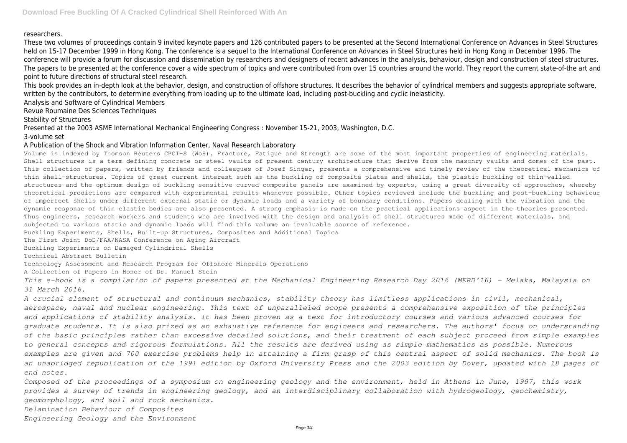# researchers.

These two volumes of proceedings contain 9 invited keynote papers and 126 contributed papers to be presented at the Second International Conference on Advances in Steel Structures held on 15-17 December 1999 in Hong Kong. The conference is a sequel to the International Conference on Advances in Steel Structures held in Hong Kong in December 1996. The conference will provide a forum for discussion and dissemination by researchers and designers of recent advances in the analysis, behaviour, design and construction of steel structures. The papers to be presented at the conference cover a wide spectrum of topics and were contributed from over 15 countries around the world. They report the current state-of-the art and point to future directions of structural steel research.

This book provides an in-depth look at the behavior, design, and construction of offshore structures. It describes the behavior of cylindrical members and suggests appropriate software, written by the contributors, to determine everything from loading up to the ultimate load, including post-buckling and cyclic inelasticity.

Analysis and Software of Cylindrical Members

Revue Roumaine Des Sciences Techniques

Stability of Structures

Presented at the 2003 ASME International Mechanical Engineering Congress : November 15-21, 2003, Washington, D.C. 3-volume set

# A Publication of the Shock and Vibration Information Center, Naval Research Laboratory

Volume is indexed by Thomson Reuters CPCI-S (WoS). Fracture, Fatigue and Strength are some of the most important properties of engineering materials. Shell structures is a term defining concrete or steel vaults of present century architecture that derive from the masonry vaults and domes of the past. This collection of papers, written by friends and colleagues of Josef Singer, presents a comprehensive and timely review of the theoretical mechanics of thin shell-structures. Topics of great current interest such as the buckling of composite plates and shells, the plastic buckling of thin-walled structures and the optimum design of buckling sensitive curved composite panels are examined by experts, using a great diversity of approaches, whereby theoretical predictions are compared with experimental results whenever possible. Other topics reviewed include the buckling and post-buckling behaviour of imperfect shells under different external static or dynamic loads and a variety of boundary conditions. Papers dealing with the vibration and the dynamic response of thin elastic bodies are also presented. A strong emphasis is made on the practical applications aspect in the theories presented. Thus engineers, research workers and students who are involved with the design and analysis of shell structures made of different materials, and subjected to various static and dynamic loads will find this volume an invaluable source of reference.

Buckling Experiments, Shells, Built-up Structures, Composites and Additional Topics

The First Joint DoD/FAA/NASA Conference on Aging Aircraft

Buckling Experiments on Damaged Cylindrical Shells

Technical Abstract Bulletin

Technology Assessment and Research Program for Offshore Minerals Operations

A Collection of Papers in Honor of Dr. Manuel Stein

*This e-book is a compilation of papers presented at the Mechanical Engineering Research Day 2016 (MERD'16) - Melaka, Malaysia on 31 March 2016.*

*A crucial element of structural and continuum mechanics, stability theory has limitless applications in civil, mechanical, aerospace, naval and nuclear engineering. This text of unparalleled scope presents a comprehensive exposition of the principles and applications of stability analysis. It has been proven as a text for introductory courses and various advanced courses for graduate students. It is also prized as an exhaustive reference for engineers and researchers. The authors' focus on understanding of the basic principles rather than excessive detailed solutions, and their treatment of each subject proceed from simple examples to general concepts and rigorous formulations. All the results are derived using as simple mathematics as possible. Numerous examples are given and 700 exercise problems help in attaining a firm grasp of this central aspect of solid mechanics. The book is an unabridged republication of the 1991 edition by Oxford University Press and the 2003 edition by Dover, updated with 18 pages of end notes.*

*Composed of the proceedings of a symposium on engineering geology and the environment, held in Athens in June, 1997, this work provides a survey of trends in engineering geology, and an interdisciplinary collaboration with hydrogeology, geochemistry, geomorphology, and soil and rock mechanics.*

*Delamination Behaviour of Composites*

*Engineering Geology and the Environment*